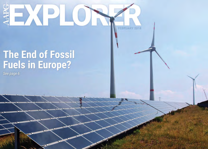# DXP FEBRUARY 2018

# The End of Fossil<br>Fuels in Europe?

See page 6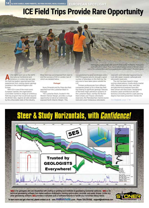**14 By SUSIE DANIELS, NUNO PIMENTEL, RUI PENA DOS REIS, NICOLA SCARSELLI**

EUROPEAN SPOTLIGHT

# **ICE Field Trips Provide Rare Opportunity**

s the lights went out on the AAPG International Conference and Exhibition in London late last year, the feld trip leaders reported back their experiences from visiting classic geology localities in the United Kingdom and **Europe** 

With ICE in one of the most iconic European capitals, the organization committee wanted to shape an ambitious feld trip program that would look beyond the British Isles. Against all odds dictated by the unfavorable state of the industry,

three feld trips accompanied from start to end the success of ICE in London, two of which are detailed below.

#### **Portugal**

Nuno Pimentel and Rui Pena dos Reis reported from the Lusitanian Basin in Portugal:

The Lusitanian Basin, located in the Western Iberian Margin, provides a unique opportunity to look at an extensively exposed North Atlantic Margin. This,

*Field trip group looking at the Lower Jurassic section at stop 10 (Peniche, 70 kilometers north-northwest of Lisbon). These marine marly limestones are one of the main sourcerocks of the Lusitanian Basin and have sourced oil-seeps visited at stop 7. Photo by G.Garcia.*

complemented by great landscapes and a mild Portuguese autumn, brought a good number of attendees to this feld trip, the only one to have taken place outside the U.K.

Thirteen professionals from different companies joined us for a three-day feld trip looking at signifcant geologic features of the three major petroleum systems of the Lusitanian Basin, namely the Silurian black-shales and Triassic siliciclastic reservoirs, the Pliensbachian marine source rock and Lower Cretaceous siliciclastic

reservoirs, and Oxfordian lagoonal source rock with Upper Jurassic carbonate and siliciclastic reservoirs.

The visit has been based in large outcrop observations, mostly along coastal cliffs. Selected seismic lines, well data and geochemical analyses have also been shown and discussed. Geodynamic evolution, basin architecture and salt tectonics (including seismic scale piercing diapirs) have been presented. Overall, the

See **England**, page  $17 \triangleright$